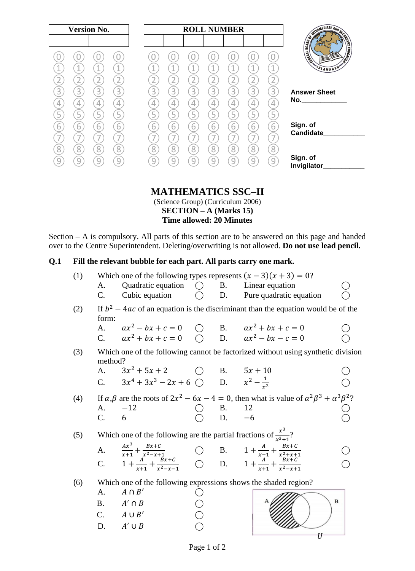| <b>Version No.</b>                                                                    | <b>ROLL NUMBER</b>                                                                                                                         |                                                                                                                                                                                                                                                       |
|---------------------------------------------------------------------------------------|--------------------------------------------------------------------------------------------------------------------------------------------|-------------------------------------------------------------------------------------------------------------------------------------------------------------------------------------------------------------------------------------------------------|
|                                                                                       | 1<br>А<br>л<br>л                                                                                                                           | <b>ENGINEERIE AND SCORE</b><br><b>EDUCATION</b><br>Limited Ave<br>SLAMABAD                                                                                                                                                                            |
| $\overline{3}$<br>3<br>3<br>3<br>$\overline{4}$<br>4<br>4<br>5<br>$\overline{5}$<br>5 | 3<br>3<br>3<br>3<br>3<br>3<br>3<br>4<br>$\overline{4}$<br>4<br>4<br>4<br>4<br>4<br>5<br>5<br>5<br>5<br>5<br>5<br>Ь                         | <b>Answer Sheet</b><br>No. And the contract of the contract of the contract of the contract of the contract of the contract of the contract of the contract of the contract of the contract of the contract of the contract of the contract of the co |
| 6<br>6<br>6<br>ь<br>8<br>8<br>8<br>8<br>9                                             | $\overline{6}$<br>$\overline{6}$<br>6<br>6<br>6<br>6<br>6<br>8<br>8 <sup>1</sup><br>8<br>$\overline{8}$<br>8<br>8<br>8<br>9<br>9<br>9<br>q | Sign. of<br>Candidate<br>Sign. of<br>Invigilator_                                                                                                                                                                                                     |

## **MATHEMATICS SSC–II**

(Science Group) (Curriculum 2006) **SECTION – A (Marks 15) Time allowed: 20 Minutes**

Section – A is compulsory. All parts of this section are to be answered on this page and handed over to the Centre Superintendent. Deleting/overwriting is not allowed. **Do not use lead pencil.**

#### **Q.1 Fill the relevant bubble for each part. All parts carry one mark.**

| (1) |             |                                                                                                                                                                                                    |                                                                             | Which one of the following types represents $(x - 3)(x + 3) = 0$ ?                                                      |             |
|-----|-------------|----------------------------------------------------------------------------------------------------------------------------------------------------------------------------------------------------|-----------------------------------------------------------------------------|-------------------------------------------------------------------------------------------------------------------------|-------------|
|     | A.          | Quadratic equation $\bigcirc$ B. Linear equation                                                                                                                                                   |                                                                             |                                                                                                                         |             |
|     | $C_{\cdot}$ |                                                                                                                                                                                                    |                                                                             | Cubic equation $\bigcirc$ D. Pure quadratic equation                                                                    |             |
| (2) | form:       |                                                                                                                                                                                                    |                                                                             | If $b^2 - 4ac$ of an equation is the discriminant than the equation would be of the                                     |             |
|     |             |                                                                                                                                                                                                    |                                                                             |                                                                                                                         |             |
|     |             | A. $ax^2 - bx + c = 0$ ( ) B. $ax^2 + bx + c = 0$<br>C. $ax^2 + bx + c = 0$ ( ) D. $ax^2 - bx - c = 0$                                                                                             |                                                                             |                                                                                                                         |             |
| (3) | method?     |                                                                                                                                                                                                    |                                                                             | Which one of the following cannot be factorized without using synthetic division                                        |             |
|     |             |                                                                                                                                                                                                    |                                                                             |                                                                                                                         |             |
|     |             | A. $3x^2 + 5x + 2$ O B. $5x + 10$<br>C. $3x^4 + 3x^3 - 2x + 6$ O D. $x^2 - \frac{1}{x^2}$                                                                                                          |                                                                             |                                                                                                                         |             |
| (4) |             |                                                                                                                                                                                                    |                                                                             | If $\alpha, \beta$ are the roots of $2x^2 - 6x - 4 = 0$ , then what is value of $\alpha^2 \beta^3 + \alpha^3 \beta^2$ ? |             |
|     | A.          | $-12$                                                                                                                                                                                              |                                                                             |                                                                                                                         |             |
|     | C.          | 6                                                                                                                                                                                                  | $\begin{array}{ccc}\n\bigcirc & B. & 12 \\ \bigcirc & D. & -6\n\end{array}$ |                                                                                                                         |             |
| (5) |             | Which one of the following are the partial fractions of $\frac{x^3}{x^3+1}$ ?                                                                                                                      |                                                                             |                                                                                                                         |             |
|     |             |                                                                                                                                                                                                    |                                                                             |                                                                                                                         |             |
|     |             | A. $\frac{Ax^3}{x+1} + \frac{Bx+C}{x^2-x+1}$<br>C. $1 + \frac{A}{x+1} + \frac{Bx+C}{x^2-x-1}$<br>C. $1 + \frac{A}{x+1} + \frac{Bx+C}{x^2-x-1}$<br>O. B. $1 + \frac{A}{x-1} + \frac{Bx+C}{x^2+x+1}$ |                                                                             |                                                                                                                         |             |
|     |             |                                                                                                                                                                                                    |                                                                             |                                                                                                                         |             |
| (6) |             |                                                                                                                                                                                                    |                                                                             | Which one of the following expressions shows the shaded region?                                                         |             |
|     | A.          | $A \cap B'$                                                                                                                                                                                        |                                                                             |                                                                                                                         |             |
|     |             | B. $A' \cap B$                                                                                                                                                                                     |                                                                             |                                                                                                                         | $\mathbf B$ |
|     |             | C. $A \cup B'$                                                                                                                                                                                     |                                                                             |                                                                                                                         |             |
|     |             | D. $A' \cup B$                                                                                                                                                                                     |                                                                             |                                                                                                                         |             |
|     |             |                                                                                                                                                                                                    |                                                                             |                                                                                                                         |             |

 $\overline{U}$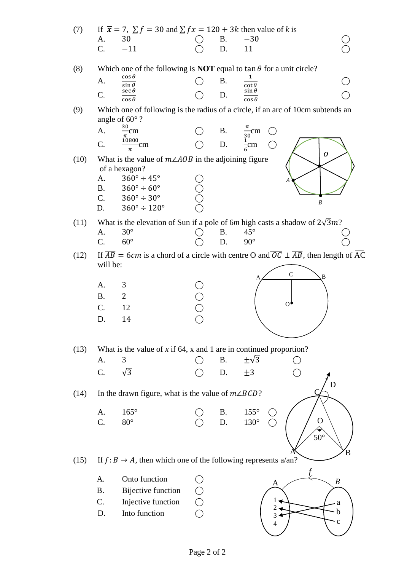| (7)  |             | If $\bar{x} = 7$ , $\sum f = 30$ and $\sum fx = 120 + 3k$ then value of k is |             |           |                                                                                                                           |  |
|------|-------------|------------------------------------------------------------------------------|-------------|-----------|---------------------------------------------------------------------------------------------------------------------------|--|
|      | A.          | 30                                                                           |             | <b>B.</b> | $-30$                                                                                                                     |  |
|      | C.          | $-11$                                                                        |             | D.        | 11                                                                                                                        |  |
| (8)  |             |                                                                              |             |           | Which one of the following is <b>NOT</b> equal to $\tan \theta$ for a unit circle?                                        |  |
|      | A.          | $\cos \theta$                                                                |             | <b>B.</b> | 1                                                                                                                         |  |
|      |             | $\sin \theta$<br>$\sec \theta$                                               |             |           | $\cot\theta \sin\theta$                                                                                                   |  |
|      | C.          | $\cos \theta$                                                                |             | D.        | $\cos\theta$                                                                                                              |  |
| (9)  |             | angle of $60^\circ$ ?                                                        |             |           | Which one of following is the radius of a circle, if an arc of 10cm subtends an                                           |  |
|      | A.          | $rac{30}{\pi}$ cm                                                            |             |           |                                                                                                                           |  |
|      | C.          | $\frac{10800}{\pi}$ cm                                                       |             |           | B. $\frac{\pi}{30}$ cm<br>D. $\frac{1}{6}$ cm                                                                             |  |
|      |             |                                                                              |             |           | 0                                                                                                                         |  |
| (10) |             | What is the value of $m\angle AOB$ in the adjoining figure                   |             |           |                                                                                                                           |  |
|      | A.          | of a hexagon?<br>$360^\circ \div 45^\circ$                                   |             |           |                                                                                                                           |  |
|      | <b>B.</b>   | $360^\circ \div 60^\circ$                                                    |             |           |                                                                                                                           |  |
|      | $C_{\cdot}$ | $360^\circ \div 30^\circ$                                                    | Ŏ<br>O<br>O |           |                                                                                                                           |  |
|      | D.          | $360^{\circ} \div 120^{\circ}$                                               |             |           | $\boldsymbol{B}$                                                                                                          |  |
| (11) |             |                                                                              |             |           | What is the elevation of Sun if a pole of 6m high casts a shadow of $2\sqrt{3}m$ ?                                        |  |
|      | A.          | $30^\circ$                                                                   |             | Β.        | $45^{\circ}$                                                                                                              |  |
|      | C.          | $60^\circ$                                                                   |             | D.        | $90^\circ$                                                                                                                |  |
| (12) |             |                                                                              |             |           | If $\overline{AB}$ = 6cm is a chord of a circle with centre O and $\overline{OC} \perp \overline{AB}$ , then length of AC |  |
|      | will be:    |                                                                              |             |           |                                                                                                                           |  |
|      |             |                                                                              |             |           | $\mathsf{C}$<br>B.                                                                                                        |  |
|      | A.          | 3                                                                            |             |           |                                                                                                                           |  |
|      | <b>B.</b>   | $\overline{2}$                                                               |             |           |                                                                                                                           |  |
|      | C.          | 12                                                                           |             |           | $^{o}$                                                                                                                    |  |
|      | D.          | 14                                                                           |             |           |                                                                                                                           |  |
|      |             |                                                                              |             |           |                                                                                                                           |  |
| (13) |             |                                                                              |             |           | What is the value of $x$ if 64, $x$ and 1 are in continued proportion?                                                    |  |
|      | A.          | 3                                                                            |             | <b>B.</b> | $\pm\sqrt{3}$                                                                                                             |  |
|      | C.          | $\sqrt{3}$                                                                   |             | D.        | $\pm 3$                                                                                                                   |  |
|      |             |                                                                              |             |           | D                                                                                                                         |  |
| (14) |             | In the drawn figure, what is the value of $m\angle BCD$ ?                    |             |           |                                                                                                                           |  |
|      |             |                                                                              |             |           |                                                                                                                           |  |
|      | A.          | $165^\circ$                                                                  |             | <b>B.</b> | $155^\circ$                                                                                                               |  |
|      | C.          | $80^\circ$                                                                   |             | D.        | $130^{\circ}$<br>O                                                                                                        |  |
|      |             |                                                                              |             |           | $50^\circ$                                                                                                                |  |
|      |             |                                                                              |             |           | B                                                                                                                         |  |
| (15) |             | If $f: B \to A$ , then which one of the following represents a/an?           |             |           |                                                                                                                           |  |
|      | A.          | Onto function                                                                |             |           |                                                                                                                           |  |
|      | <b>B.</b>   | <b>Bijective function</b>                                                    |             |           | $\boldsymbol{B}$<br>A                                                                                                     |  |
|      | C.          | Injective function                                                           | $\bigcirc$  |           |                                                                                                                           |  |
|      | D.          | Into function                                                                |             |           | a<br>b                                                                                                                    |  |
|      |             |                                                                              |             |           | $\mathbf c$                                                                                                               |  |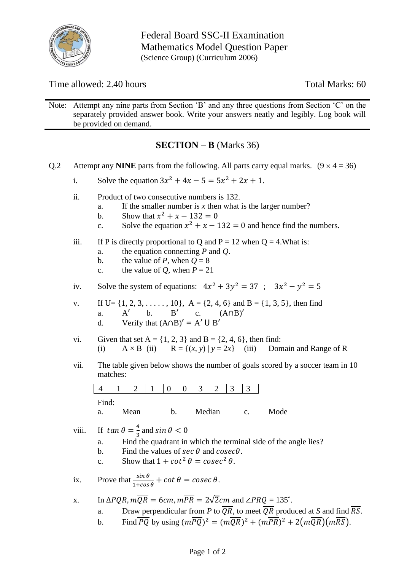

Federal Board SSC-II Examination Mathematics Model Question Paper (Science Group) (Curriculum 2006)

Time allowed: 2.40 hours Total Marks: 60

Note: Attempt any nine parts from Section 'B' and any three questions from Section 'C' on the separately provided answer book. Write your answers neatly and legibly. Log book will be provided on demand.

## **SECTION – B** (Marks 36)

- Q.2 Attempt any **NINE** parts from the following. All parts carry equal marks.  $(9 \times 4 = 36)$ 
	- i. Solve the equation  $3x^2 + 4x 5 = 5x^2 + 2x + 1$ .
	- ii. Product of two consecutive numbers is 132.
		- a. If the smaller number is  $x$  then what is the larger number?
		- b. Show that  $x^2 + x 132 = 0$
		- c. Solve the equation  $x^2 + x 132 = 0$  and hence find the numbers.
	- iii. If P is directly proportional to Q and  $P = 12$  when  $Q = 4$ . What is:
		- a. the equation connecting *P* and *Q*.
		- b. the value of *P*, when  $Q = 8$
		- c. the value of *Q*, when  $P = 21$
	- iv. Solve the system of equations:  $4x^2 + 3y^2 = 37$ ;  $3x^2 y^2 = 5$
	- v. If U=  $\{1, 2, 3, \ldots, 10\}$ , A =  $\{2, 4, 6\}$  and B =  $\{1, 3, 5\}$ , then find a. A' b. B' c. (A∩B)' d. Verify that  $(A \cap B)' = A' \cup B'$
	- vi. Given that set  $A = \{1, 2, 3\}$  and  $B = \{2, 4, 6\}$ , then find: (i)  $A \times B$  (ii)  $R = \{(x, y) | y = 2x\}$  (iii) Domain and Range of R
	- vii. The table given below shows the number of goals scored by a soccer team in 10 matches:

|                        |        |      |                                            |               | 3      | $\mathcal{D}$ | 3 |               |      |
|------------------------|--------|------|--------------------------------------------|---------------|--------|---------------|---|---------------|------|
| Find:                  |        |      |                                            |               |        |               |   |               |      |
| a.                     |        | Mean |                                            | h.            | Median |               |   | $C_{\bullet}$ | Mode |
| $\mathbf{r}$<br>$\sim$ | $\sim$ | 4    | $\blacksquare$<br>$\overline{\phantom{a}}$ | $\sim$ $\sim$ |        |               |   |               |      |

- viii. If  $tan \theta = \frac{4}{3}$  $\frac{4}{3}$  and  $\sin \theta < 0$ 
	- a. Find the quadrant in which the terminal side of the angle lies?
	- b. Find the values of  $\sec \theta$  and  $\csc \theta$ .
	- c. Show that  $1 + \cot^2 \theta = \csc^2 \theta$ .
- ix. Prove that  $\frac{\sin \theta}{1 + \cos \theta} + \cot \theta = \csc \theta$ .
- x. In  $\Delta PQR$ ,  $m\overline{QR} = 6cm$ ,  $m\overline{PR} = 2\sqrt{2}cm$  and  $\angle PRQ = 135^{\circ}$ .
	- a. Draw perpendicular from *P* to  $\overline{QR}$ , to meet  $\overline{QR}$  produced at *S* and find  $\overline{RS}$ .
	- b. Find  $\overline{PQ}$  by using  $(m\overline{PQ})^2 = (m\overline{QR})^2 + (m\overline{PR})^2 + 2(m\overline{QR})(m\overline{RS})$ .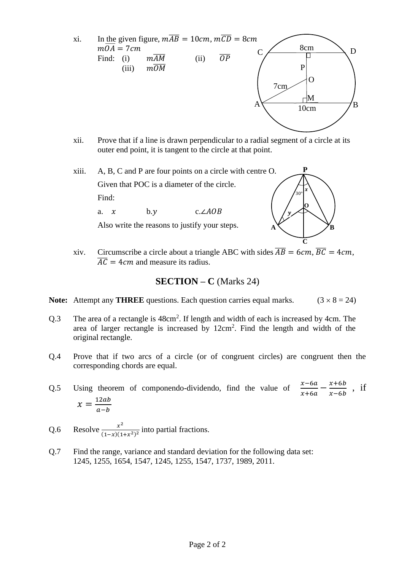

- xii. Prove that if a line is drawn perpendicular to a radial segment of a circle at its outer end point, it is tangent to the circle at that point.
- xiii. A, B, C and P are four points on a circle with centre O. Given that POC is a diameter of the circle. Find:

a.  $x$  b. v c.∠*AOB* 

Also write the reasons to justify your steps.



xiv. Circumscribe a circle about a triangle ABC with sides  $\overline{AB} = 6cm$ ,  $\overline{BC} = 4cm$ ,  $\overline{AC}$  = 4*cm* and measure its radius.

#### **SECTION – C** (Marks 24)

**Note:** Attempt any **THREE** questions. Each question carries equal marks.  $(3 \times 8 = 24)$ 

- Q.3 The area of a rectangle is  $48 \text{cm}^2$ . If length and width of each is increased by 4cm. The area of larger rectangle is increased by  $12 \text{cm}^2$ . Find the length and width of the original rectangle.
- Q.4 Prove that if two arcs of a circle (or of congruent circles) are congruent then the corresponding chords are equal.
- Q.5 Using theorem of componendo-dividendo, find the value of  $\frac{x-6a}{x+6a}$  $\frac{x-6a}{x+6a} - \frac{x+6b}{x-6b}$  $\frac{x+6b}{x-6b}$ , if  $x = \frac{12ab}{a-b}$  $a-b$
- Q.6 Resolve  $\frac{x^2}{(4-x)(4-x)}$  $\frac{x}{(1-x)(1+x^2)^2}$  into partial fractions.
- Q.7 Find the range, variance and standard deviation for the following data set: 1245, 1255, 1654, 1547, 1245, 1255, 1547, 1737, 1989, 2011.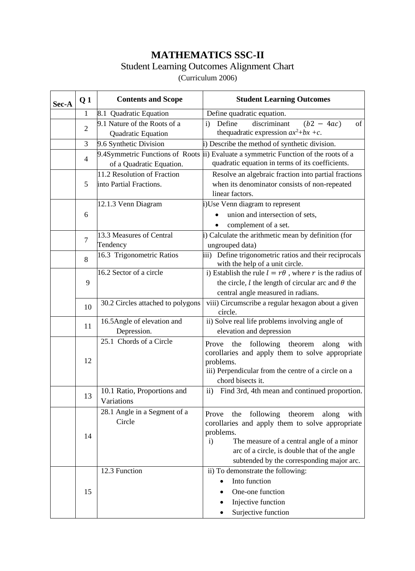# **MATHEMATICS SSC-II**

### Student Learning Outcomes Alignment Chart

(Curriculum 2006)

| Sec-A | Q <sub>1</sub> | <b>Contents and Scope</b>                                   | <b>Student Learning Outcomes</b>                                                                                                                                                                                                                                                |
|-------|----------------|-------------------------------------------------------------|---------------------------------------------------------------------------------------------------------------------------------------------------------------------------------------------------------------------------------------------------------------------------------|
|       | 1              | 8.1 Quadratic Equation                                      | Define quadratic equation.                                                                                                                                                                                                                                                      |
|       | $\overline{2}$ | 9.1 Nature of the Roots of a<br>Quadratic Equation          | discriminant<br>Define<br>$(b2 - 4ac)$<br>of<br>$\mathbf{i}$<br>thequadratic expression $ax^2+bx+c$ .                                                                                                                                                                           |
|       | 3              | 9.6 Synthetic Division                                      | i) Describe the method of synthetic division.                                                                                                                                                                                                                                   |
|       | 4              | 9.4Symmetric Functions of Roots<br>of a Quadratic Equation. | ii) Evaluate a symmetric Function of the roots of a<br>quadratic equation in terms of its coefficients.                                                                                                                                                                         |
|       | 5              | 11.2 Resolution of Fraction<br>into Partial Fractions.      | Resolve an algebraic fraction into partial fractions<br>when its denominator consists of non-repeated<br>linear factors.                                                                                                                                                        |
|       | 6              | 12.1.3 Venn Diagram                                         | i)Use Venn diagram to represent<br>union and intersection of sets,<br>complement of a set.<br>$\bullet$                                                                                                                                                                         |
|       | $\overline{7}$ | 13.3 Measures of Central<br>Tendency                        | i) Calculate the arithmetic mean by definition (for<br>ungrouped data)                                                                                                                                                                                                          |
|       | 8              | 16.3 Trigonometric Ratios                                   | iii) Define trigonometric ratios and their reciprocals<br>with the help of a unit circle.                                                                                                                                                                                       |
|       | 9              | 16.2 Sector of a circle                                     | i) Establish the rule $l = r\theta$ , where r is the radius of<br>the circle, $l$ the length of circular arc and $\theta$ the<br>central angle measured in radians.                                                                                                             |
|       | 10             | 30.2 Circles attached to polygons                           | viii) Circumscribe a regular hexagon about a given<br>circle.                                                                                                                                                                                                                   |
|       | 11             | 16.5Angle of elevation and<br>Depression.                   | ii) Solve real life problems involving angle of<br>elevation and depression                                                                                                                                                                                                     |
|       | 12             | 25.1 Chords of a Circle                                     | following theorem<br>the<br>Prove<br>along<br>with<br>corollaries and apply them to solve appropriate<br>problems.<br>iii) Perpendicular from the centre of a circle on a<br>chord bisects it.                                                                                  |
|       | 13             | 10.1 Ratio, Proportions and<br>Variations                   | Find 3rd, 4th mean and continued proportion.<br>$\mathbf{ii}$                                                                                                                                                                                                                   |
|       | 14             | 28.1 Angle in a Segment of a<br>Circle                      | following<br>the<br>theorem<br>Prove<br>along<br>with<br>corollaries and apply them to solve appropriate<br>problems.<br>The measure of a central angle of a minor<br>$\mathbf{i}$<br>arc of a circle, is double that of the angle<br>subtended by the corresponding major arc. |
|       | 15             | 12.3 Function                                               | ii) To demonstrate the following:<br>Into function<br>One-one function<br>Injective function<br>Surjective function                                                                                                                                                             |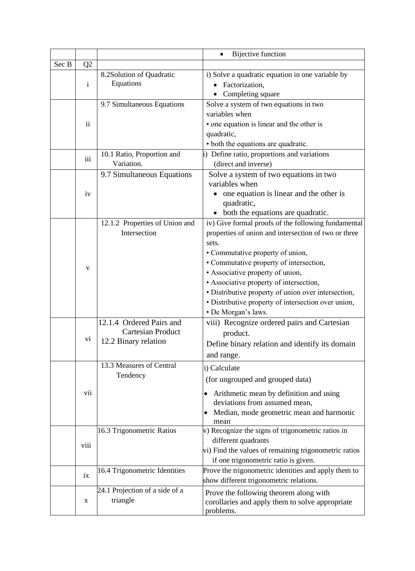|       |                |                                | <b>Bijective function</b>                                                  |
|-------|----------------|--------------------------------|----------------------------------------------------------------------------|
| Sec B | Q <sub>2</sub> |                                |                                                                            |
|       |                | 8.2Solution of Quadratic       | i) Solve a quadratic equation in one variable by                           |
|       | $\mathbf{i}$   | Equations                      | • Factorization,                                                           |
|       |                |                                | Completing square                                                          |
|       |                | 9.7 Simultaneous Equations     | Solve a system of two equations in two                                     |
|       |                |                                | variables when                                                             |
|       | $\mathbf{ii}$  |                                | • one equation is linear and the other is                                  |
|       |                |                                | quadratic,                                                                 |
|       |                |                                | • both the equations are quadratic.                                        |
|       | iii            | 10.1 Ratio, Proportion and     | i) Define ratio, proportions and variations                                |
|       |                | Variation.                     | (direct and inverse)                                                       |
|       |                | 9.7 Simultaneous Equations     | Solve a system of two equations in two                                     |
|       |                |                                | variables when                                                             |
|       | iv             |                                | one equation is linear and the other is                                    |
|       |                |                                | quadratic,                                                                 |
|       |                |                                | • both the equations are quadratic.                                        |
|       |                | 12.1.2 Properties of Union and | iv) Give formal proofs of the following fundamental                        |
|       |                | Intersection                   | properties of union and intersection of two or three                       |
|       |                |                                | sets.                                                                      |
|       |                |                                | • Commutative property of union,                                           |
|       | v              |                                | • Commutative property of intersection,                                    |
|       |                |                                | • Associative property of union,                                           |
|       |                |                                | • Associative property of intersection,                                    |
|       |                |                                | · Distributive property of union over intersection,                        |
|       |                |                                | · Distributive property of intersection over union,<br>• De Morgan's laws. |
|       |                | 12.1.4 Ordered Pairs and       | viii) Recognize ordered pairs and Cartesian                                |
|       |                | <b>Cartesian Product</b>       |                                                                            |
|       | V1             | 12.2 Binary relation           | product.                                                                   |
|       |                |                                | Define binary relation and identify its domain                             |
|       |                |                                | and range.                                                                 |
|       |                | 13.3 Measures of Central       | i) Calculate                                                               |
|       |                | Tendency                       | (for ungrouped and grouped data)                                           |
|       | vii            |                                | Arithmetic mean by definition and using                                    |
|       |                |                                | deviations from assumed mean,                                              |
|       |                |                                | Median, mode geometric mean and harmonic<br>$\bullet$                      |
|       |                |                                | mean                                                                       |
|       |                | 16.3 Trigonometric Ratios      | v) Recognize the signs of trigonometric ratios in                          |
|       |                |                                | different quadrants                                                        |
|       | viii           |                                | vi) Find the values of remaining trigonometric ratios                      |
|       |                |                                | if one trigonometric ratio is given.                                       |
|       |                | 16.4 Trigonometric Identities  | Prove the trigonometric identities and apply them to                       |
|       | ix             |                                | show different trigonometric relations.                                    |
|       |                | 24.1 Projection of a side of a | Prove the following theorem along with                                     |
|       | X              | triangle                       | corollaries and apply them to solve appropriate                            |
|       |                |                                | problems.                                                                  |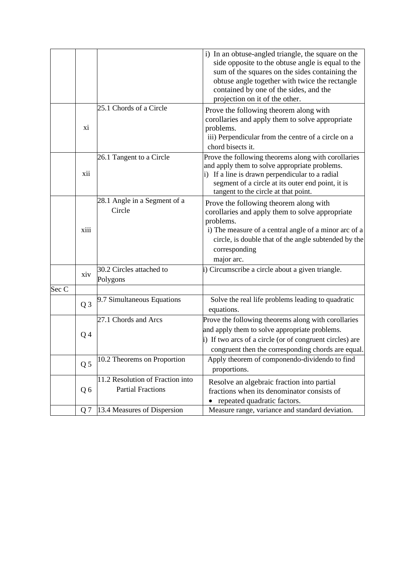|       |                |                                                              | i) In an obtuse-angled triangle, the square on the<br>side opposite to the obtuse angle is equal to the<br>sum of the squares on the sides containing the<br>obtuse angle together with twice the rectangle<br>contained by one of the sides, and the<br>projection on it of the other. |
|-------|----------------|--------------------------------------------------------------|-----------------------------------------------------------------------------------------------------------------------------------------------------------------------------------------------------------------------------------------------------------------------------------------|
|       | xi             | 25.1 Chords of a Circle                                      | Prove the following theorem along with<br>corollaries and apply them to solve appropriate<br>problems.<br>iii) Perpendicular from the centre of a circle on a<br>chord bisects it.                                                                                                      |
|       | xii            | 26.1 Tangent to a Circle                                     | Prove the following theorems along with corollaries<br>and apply them to solve appropriate problems.<br>i) If a line is drawn perpendicular to a radial<br>segment of a circle at its outer end point, it is<br>tangent to the circle at that point.                                    |
|       | xiii           | 28.1 Angle in a Segment of a<br>Circle                       | Prove the following theorem along with<br>corollaries and apply them to solve appropriate<br>problems.<br>i) The measure of a central angle of a minor arc of a<br>circle, is double that of the angle subtended by the<br>corresponding<br>major arc.                                  |
|       | xiv            | 30.2 Circles attached to<br>Polygons                         | i) Circumscribe a circle about a given triangle.                                                                                                                                                                                                                                        |
| Sec C |                |                                                              |                                                                                                                                                                                                                                                                                         |
|       | Q <sub>3</sub> | 9.7 Simultaneous Equations                                   | Solve the real life problems leading to quadratic<br>equations.                                                                                                                                                                                                                         |
|       | Q <sub>4</sub> | 27.1 Chords and Arcs                                         | Prove the following theorems along with corollaries<br>and apply them to solve appropriate problems.<br>i) If two arcs of a circle (or of congruent circles) are<br>congruent then the corresponding chords are equal.                                                                  |
|       | Q <sub>5</sub> | 10.2 Theorems on Proportion                                  | Apply theorem of componendo-dividendo to find<br>proportions.                                                                                                                                                                                                                           |
|       | Q <sub>6</sub> | 11.2 Resolution of Fraction into<br><b>Partial Fractions</b> | Resolve an algebraic fraction into partial<br>fractions when its denominator consists of<br>repeated quadratic factors.                                                                                                                                                                 |
|       | Q <sub>7</sub> | 13.4 Measures of Dispersion                                  | Measure range, variance and standard deviation.                                                                                                                                                                                                                                         |